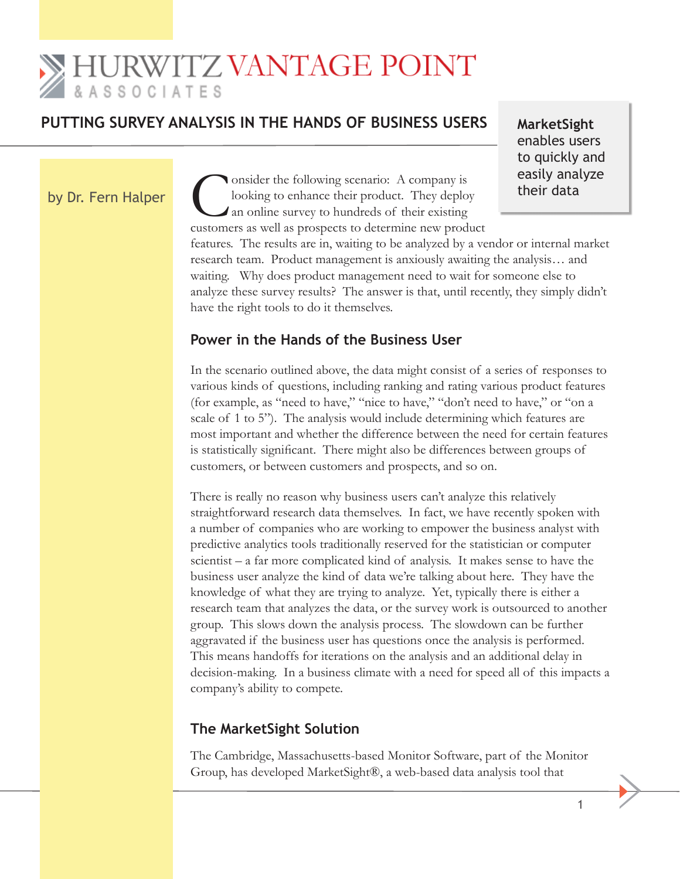# **SHURWITZ VANTAGE POINT** & A S S O C I A T E S

## PUTTING SURVEY ANALYSIS IN THE HANDS OF BUSINESS USERS MarketSight

enables users to quickly and easily analyze their data

by Dr. Fern Halper

Consider the following scenario: A company is<br>looking to enhance their product. They deploy<br>an online survey to hundreds of their existing<br>customers as well as prospects to determine new produ customers as well as prospects to determine new product features. The results are in, waiting to be analyzed by a vendor or internal market research team. Product management is anxiously awaiting the analysis… and waiting. Why does product management need to wait for someone else to analyze these survey results? The answer is that, until recently, they simply didn't have the right tools to do it themselves.

### **Power in the Hands of the Business User**

looking to enhance their product. They deploy an online survey to hundreds of their existing

In the scenario outlined above, the data might consist of a series of responses to various kinds of questions, including ranking and rating various product features (for example, as "need to have," "nice to have," "don't need to have," or "on a scale of 1 to 5"). The analysis would include determining which features are most important and whether the difference between the need for certain features is statistically significant. There might also be differences between groups of customers, or between customers and prospects, and so on.

There is really no reason why business users can't analyze this relatively straightforward research data themselves. In fact, we have recently spoken with a number of companies who are working to empower the business analyst with predictive analytics tools traditionally reserved for the statistician or computer scientist – a far more complicated kind of analysis. It makes sense to have the business user analyze the kind of data we're talking about here. They have the knowledge of what they are trying to analyze. Yet, typically there is either a research team that analyzes the data, or the survey work is outsourced to another group. This slows down the analysis process. The slowdown can be further aggravated if the business user has questions once the analysis is performed. This means handoffs for iterations on the analysis and an additional delay in decision-making. In a business climate with a need for speed all of this impacts a company's ability to compete.

## **The MarketSight Solution**

The Cambridge, Massachusetts-based Monitor Software, part of the Monitor Group, has developed MarketSight®, a web-based data analysis tool that

 $\sim$  1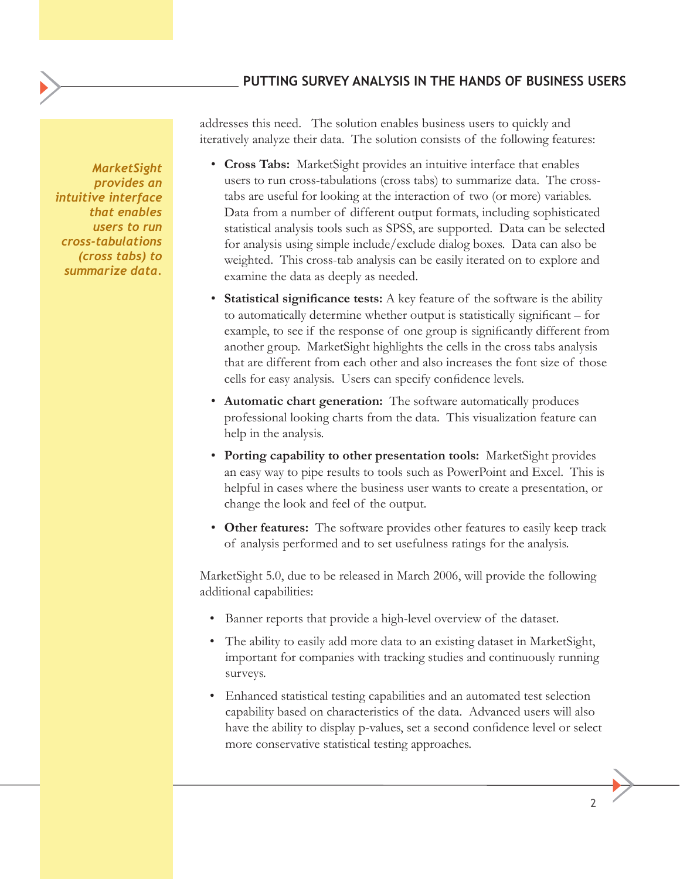#### **Putting Survey Analysis in the Hands of Business Users**

*MarketSight provides an intuitive interface that enables users to run cross-tabulations (cross tabs) to summarize data.*

addresses this need. The solution enables business users to quickly and iteratively analyze their data. The solution consists of the following features:

- **Cross Tabs:** MarketSight provides an intuitive interface that enables users to run cross-tabulations (cross tabs) to summarize data. The crosstabs are useful for looking at the interaction of two (or more) variables. Data from a number of different output formats, including sophisticated statistical analysis tools such as SPSS, are supported. Data can be selected for analysis using simple include/exclude dialog boxes. Data can also be weighted. This cross-tab analysis can be easily iterated on to explore and examine the data as deeply as needed.
- **Statistical significance tests:** A key feature of the software is the ability to automatically determine whether output is statistically significant – for example, to see if the response of one group is significantly different from another group. MarketSight highlights the cells in the cross tabs analysis that are different from each other and also increases the font size of those cells for easy analysis. Users can specify confidence levels.
- **Automatic chart generation:** The software automatically produces professional looking charts from the data. This visualization feature can help in the analysis.
- **Porting capability to other presentation tools:** MarketSight provides an easy way to pipe results to tools such as PowerPoint and Excel. This is helpful in cases where the business user wants to create a presentation, or change the look and feel of the output.
- **Other features:** The software provides other features to easily keep track of analysis performed and to set usefulness ratings for the analysis.

MarketSight 5.0, due to be released in March 2006, will provide the following additional capabilities:

- Banner reports that provide a high-level overview of the dataset.
- The ability to easily add more data to an existing dataset in MarketSight, important for companies with tracking studies and continuously running surveys.
- Enhanced statistical testing capabilities and an automated test selection capability based on characteristics of the data. Advanced users will also have the ability to display p-values, set a second confidence level or select more conservative statistical testing approaches.

 2